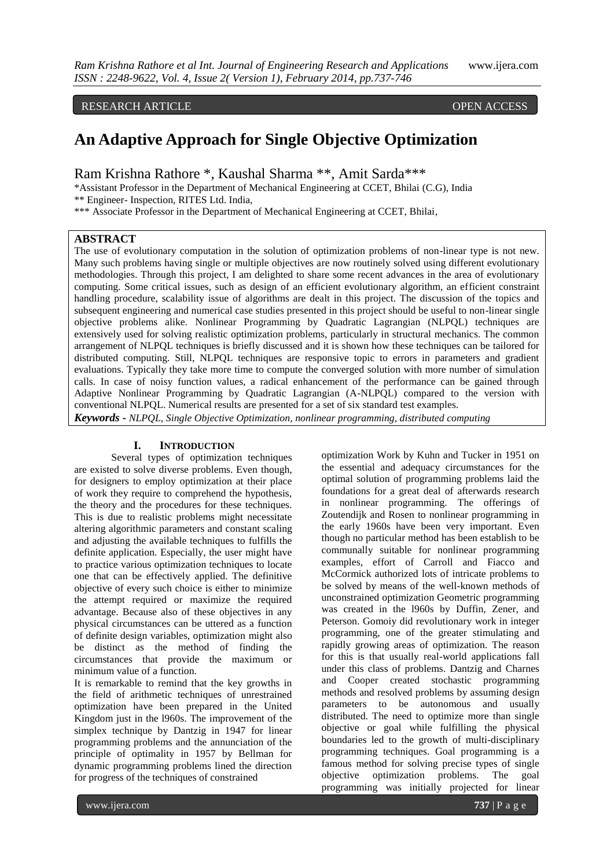RESEARCH ARTICLE OPEN ACCESS

# **An Adaptive Approach for Single Objective Optimization**

Ram Krishna Rathore \*, Kaushal Sharma \*\*, Amit Sarda\*\*\*

\*Assistant Professor in the Department of Mechanical Engineering at CCET, Bhilai (C.G), India

\*\* Engineer- Inspection, RITES Ltd. India,

\*\*\* Associate Professor in the Department of Mechanical Engineering at CCET, Bhilai,

# **ABSTRACT**

The use of evolutionary computation in the solution of optimization problems of non-linear type is not new. Many such problems having single or multiple objectives are now routinely solved using different evolutionary methodologies. Through this project, I am delighted to share some recent advances in the area of evolutionary computing. Some critical issues, such as design of an efficient evolutionary algorithm, an efficient constraint handling procedure, scalability issue of algorithms are dealt in this project. The discussion of the topics and subsequent engineering and numerical case studies presented in this project should be useful to non-linear single objective problems alike. Nonlinear Programming by Quadratic Lagrangian (NLPQL) techniques are extensively used for solving realistic optimization problems, particularly in structural mechanics. The common arrangement of NLPQL techniques is briefly discussed and it is shown how these techniques can be tailored for distributed computing. Still, NLPQL techniques are responsive topic to errors in parameters and gradient evaluations. Typically they take more time to compute the converged solution with more number of simulation calls. In case of noisy function values, a radical enhancement of the performance can be gained through Adaptive Nonlinear Programming by Quadratic Lagrangian (A-NLPQL) compared to the version with conventional NLPQL. Numerical results are presented for a set of six standard test examples. *Keywords* **-** *NLPQL, Single Objective Optimization, nonlinear programming, distributed computing*

#### **I. INTRODUCTION**

Several types of optimization techniques are existed to solve diverse problems. Even though, for designers to employ optimization at their place of work they require to comprehend the hypothesis, the theory and the procedures for these techniques. This is due to realistic problems might necessitate altering algorithmic parameters and constant scaling and adjusting the available techniques to fulfills the definite application. Especially, the user might have to practice various optimization techniques to locate one that can be effectively applied. The definitive objective of every such choice is either to minimize the attempt required or maximize the required advantage. Because also of these objectives in any physical circumstances can be uttered as a function of definite design variables, optimization might also be distinct as the method of finding the circumstances that provide the maximum or minimum value of a function.

It is remarkable to remind that the key growths in the field of arithmetic techniques of unrestrained optimization have been prepared in the United Kingdom just in the l960s. The improvement of the simplex technique by Dantzig in 1947 for linear programming problems and the annunciation of the principle of optimality in 1957 by Bellman for dynamic programming problems lined the direction for progress of the techniques of constrained

optimization Work by Kuhn and Tucker in 1951 on the essential and adequacy circumstances for the optimal solution of programming problems laid the foundations for a great deal of afterwards research in nonlinear programming. The offerings of Zoutendijk and Rosen to nonlinear programming in the early 1960s have been very important. Even though no particular method has been establish to be communally suitable for nonlinear programming examples, effort of Carroll and Fiacco and McCormick authorized lots of intricate problems to be solved by means of the well-known methods of unconstrained optimization Geometric programming was created in the l960s by Duffin, Zener, and Peterson. Gomoiy did revolutionary work in integer programming, one of the greater stimulating and rapidly growing areas of optimization. The reason for this is that usually real-world applications fall under this class of problems. Dantzig and Charnes and Cooper created stochastic programming methods and resolved problems by assuming design parameters to be autonomous and usually distributed. The need to optimize more than single objective or goal while fulfilling the physical boundaries led to the growth of multi-disciplinary programming techniques. Goal programming is a famous method for solving precise types of single objective optimization problems. The goal programming was initially projected for linear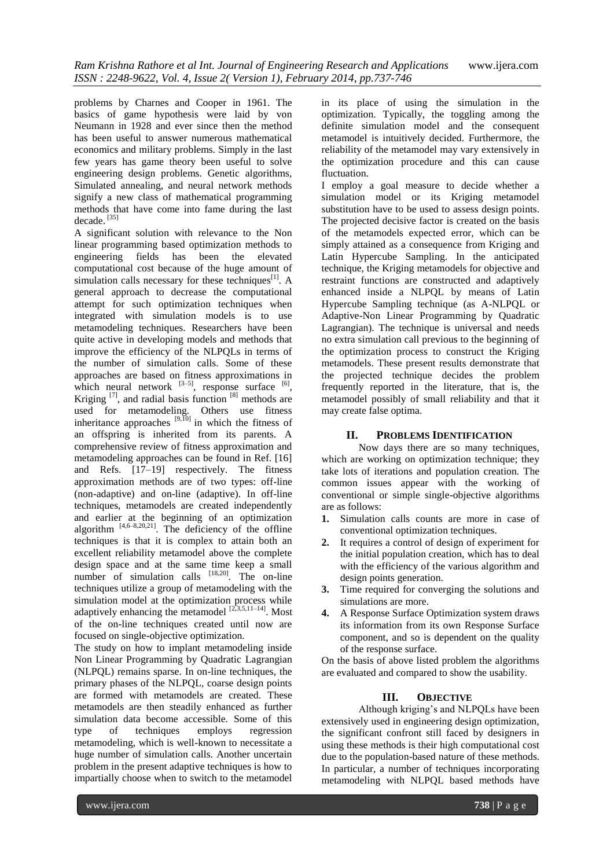problems by Charnes and Cooper in 1961. The basics of game hypothesis were laid by von Neumann in 1928 and ever since then the method has been useful to answer numerous mathematical economics and military problems. Simply in the last few years has game theory been useful to solve engineering design problems. Genetic algorithms, Simulated annealing, and neural network methods signify a new class of mathematical programming methods that have come into fame during the last decade.<sup>[35]</sup>

A significant solution with relevance to the Non linear programming based optimization methods to engineering fields has been the elevated computational cost because of the huge amount of simulation calls necessary for these techniques<sup>[1]</sup>. A general approach to decrease the computational attempt for such optimization techniques when integrated with simulation models is to use metamodeling techniques. Researchers have been quite active in developing models and methods that improve the efficiency of the NLPQLs in terms of the number of simulation calls. Some of these approaches are based on fitness approximations in which neural network  $[3-5]$ , response surface  $[6]$ , Kriging  $^{[7]}$ , and radial basis function  $^{[8]}$  methods are used for metamodeling. Others use fitness inheritance approaches  $[9,10]$  in which the fitness of an offspring is inherited from its parents. A comprehensive review of fitness approximation and metamodeling approaches can be found in Ref. [16] and Refs. [17–19] respectively. The fitness approximation methods are of two types: off-line (non-adaptive) and on-line (adaptive). In off-line techniques, metamodels are created independently and earlier at the beginning of an optimization algorithm  $[4,6-8,20,21]$ . The deficiency of the offline techniques is that it is complex to attain both an excellent reliability metamodel above the complete design space and at the same time keep a small number of simulation calls  $[18,20]$ . The on-line techniques utilize a group of metamodeling with the simulation model at the optimization process while adaptively enhancing the metamodel  $^{[2,3,5,11-14]}$ . Most of the on-line techniques created until now are focused on single-objective optimization.

The study on how to implant metamodeling inside Non Linear Programming by Quadratic Lagrangian (NLPQL) remains sparse. In on-line techniques, the primary phases of the NLPQL, coarse design points are formed with metamodels are created. These metamodels are then steadily enhanced as further simulation data become accessible. Some of this type of techniques employs regression metamodeling, which is well-known to necessitate a huge number of simulation calls. Another uncertain problem in the present adaptive techniques is how to impartially choose when to switch to the metamodel in its place of using the simulation in the optimization. Typically, the toggling among the definite simulation model and the consequent metamodel is intuitively decided. Furthermore, the reliability of the metamodel may vary extensively in the optimization procedure and this can cause fluctuation.

I employ a goal measure to decide whether a simulation model or its Kriging metamodel substitution have to be used to assess design points. The projected decisive factor is created on the basis of the metamodels expected error, which can be simply attained as a consequence from Kriging and Latin Hypercube Sampling. In the anticipated technique, the Kriging metamodels for objective and restraint functions are constructed and adaptively enhanced inside a NLPQL by means of Latin Hypercube Sampling technique (as A-NLPQL or Adaptive-Non Linear Programming by Quadratic Lagrangian). The technique is universal and needs no extra simulation call previous to the beginning of the optimization process to construct the Kriging metamodels. These present results demonstrate that the projected technique decides the problem frequently reported in the literature, that is, the metamodel possibly of small reliability and that it may create false optima.

# **II. PROBLEMS IDENTIFICATION**

Now days there are so many techniques, which are working on optimization technique; they take lots of iterations and population creation. The common issues appear with the working of conventional or simple single-objective algorithms are as follows:

- **1.** Simulation calls counts are more in case of conventional optimization techniques.
- **2.** It requires a control of design of experiment for the initial population creation, which has to deal with the efficiency of the various algorithm and design points generation.
- **3.** Time required for converging the solutions and simulations are more.
- **4.** A Response Surface Optimization system draws its information from its own Response Surface component, and so is dependent on the quality of the response surface.

On the basis of above listed problem the algorithms are evaluated and compared to show the usability.

# **III. OBJECTIVE**

Although kriging's and NLPQLs have been extensively used in engineering design optimization, the significant confront still faced by designers in using these methods is their high computational cost due to the population-based nature of these methods. In particular, a number of techniques incorporating metamodeling with NLPQL based methods have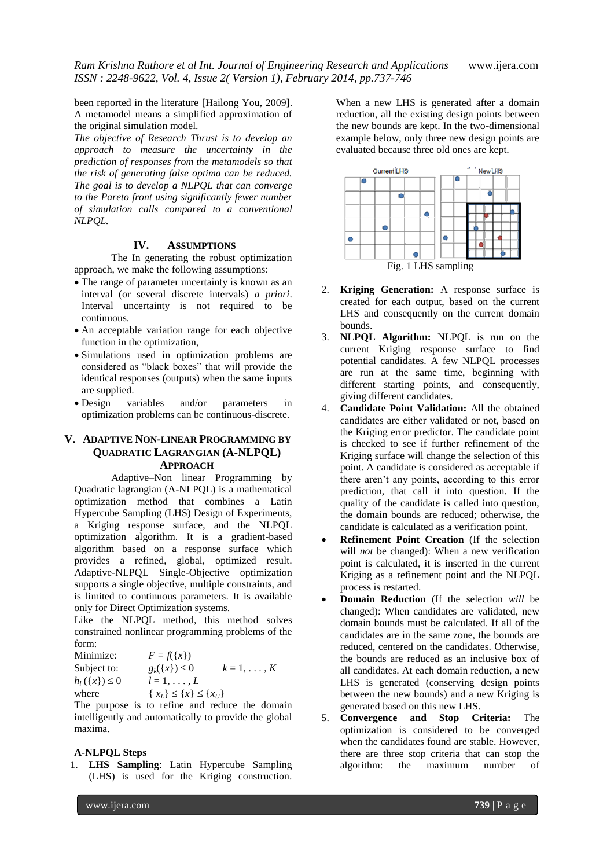been reported in the literature [Hailong You, 2009]. A metamodel means a simplified approximation of the original simulation model.

*The objective of Research Thrust is to develop an approach to measure the uncertainty in the prediction of responses from the metamodels so that the risk of generating false optima can be reduced. The goal is to develop a NLPQL that can converge to the Pareto front using significantly fewer number of simulation calls compared to a conventional NLPQL.*

# **IV. ASSUMPTIONS**

The In generating the robust optimization approach, we make the following assumptions:

- The range of parameter uncertainty is known as an interval (or several discrete intervals) *a priori*. Interval uncertainty is not required to be continuous.
- An acceptable variation range for each objective function in the optimization,
- Simulations used in optimization problems are considered as "black boxes" that will provide the identical responses (outputs) when the same inputs are supplied.
- Design variables and/or parameters in optimization problems can be continuous-discrete.

# **V. ADAPTIVE NON-LINEAR PROGRAMMING BY QUADRATIC LAGRANGIAN (A-NLPQL) APPROACH**

Adaptive–Non linear Programming by Quadratic lagrangian (A-NLPQL) is a mathematical optimization method that combines a Latin Hypercube Sampling (LHS) Design of Experiments, a Kriging response surface, and the NLPQL optimization algorithm. It is a gradient-based algorithm based on a response surface which provides a refined, global, optimized result. Adaptive-NLPQL Single-Objective optimization supports a single objective, multiple constraints, and is limited to continuous parameters. It is available only for Direct Optimization systems.

Like the NLPQL method, this method solves constrained nonlinear programming problems of the form:

| Minimize:           | $F = f(\{x\})$                              |                |
|---------------------|---------------------------------------------|----------------|
| Subject to:         | $g_k({x}) \leq 0$                           | $k=1,\ldots,K$ |
| $h_1(\{x\}) \leq 0$ | $l=1,\ldots,L$                              |                |
| where               | $\{x_L\} \leq \{x\} \leq \{x_U\}$           |                |
|                     | The purpose is to refine and reduce the dom |                |

The purpose is to refine and reduce the domain intelligently and automatically to provide the global maxima.

#### **A-NLPQL Steps**

1. **LHS Sampling**: Latin Hypercube Sampling (LHS) is used for the Kriging construction. When a new LHS is generated after a domain reduction, all the existing design points between the new bounds are kept. In the two-dimensional example below, only three new design points are evaluated because three old ones are kept.



Fig. 1 LHS sampling

- 2. **Kriging Generation:** A response surface is created for each output, based on the current LHS and consequently on the current domain bounds.
- 3. **NLPQL Algorithm:** NLPQL is run on the current Kriging response surface to find potential candidates. A few NLPQL processes are run at the same time, beginning with different starting points, and consequently, giving different candidates.
- 4. **Candidate Point Validation:** All the obtained candidates are either validated or not, based on the Kriging error predictor. The candidate point is checked to see if further refinement of the Kriging surface will change the selection of this point. A candidate is considered as acceptable if there aren't any points, according to this error prediction, that call it into question. If the quality of the candidate is called into question, the domain bounds are reduced; otherwise, the candidate is calculated as a verification point.
- **Refinement Point Creation** (If the selection will *not* be changed): When a new verification point is calculated, it is inserted in the current Kriging as a refinement point and the NLPQL process is restarted.
- **Domain Reduction** (If the selection *will* be changed): When candidates are validated, new domain bounds must be calculated. If all of the candidates are in the same zone, the bounds are reduced, centered on the candidates. Otherwise, the bounds are reduced as an inclusive box of all candidates. At each domain reduction, a new LHS is generated (conserving design points between the new bounds) and a new Kriging is generated based on this new LHS.
- 5. **Convergence and Stop Criteria:** The optimization is considered to be converged when the candidates found are stable. However, there are three stop criteria that can stop the algorithm: the maximum number of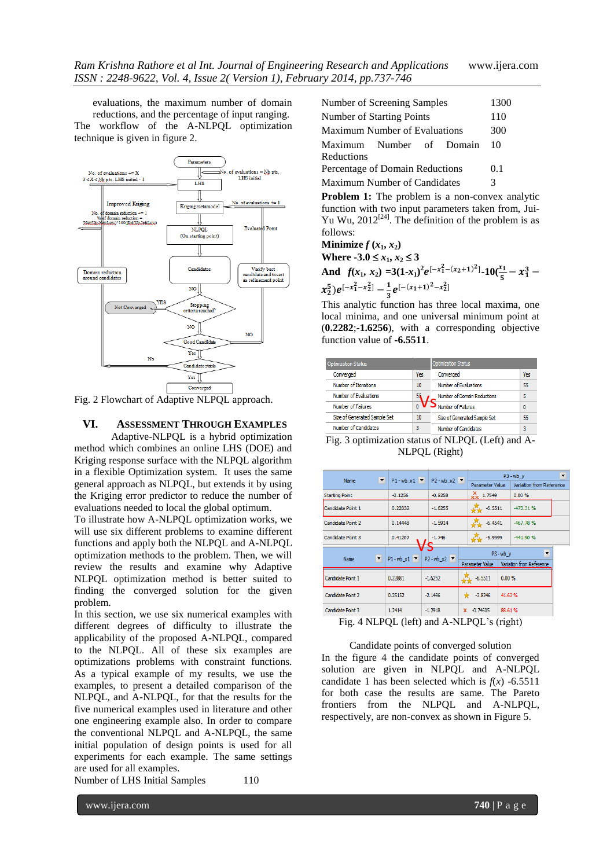evaluations, the maximum number of domain reductions, and the percentage of input ranging. The workflow of the A-NLPQL optimization technique is given in figure 2.



Fig. 2 Flowchart of Adaptive NLPQL approach.

# **VI. ASSESSMENT THROUGH EXAMPLES**

Adaptive-NLPQL is a hybrid optimization method which combines an online LHS (DOE) and Kriging response surface with the NLPQL algorithm in a flexible Optimization system. It uses the same general approach as NLPQL, but extends it by using the Kriging error predictor to reduce the number of evaluations needed to local the global optimum.

To illustrate how A-NLPQL optimization works, we will use six different problems to examine different functions and apply both the NLPQL and A-NLPQL optimization methods to the problem. Then, we will review the results and examine why Adaptive NLPQL optimization method is better suited to finding the converged solution for the given problem.

In this section, we use six numerical examples with different degrees of difficulty to illustrate the applicability of the proposed A-NLPQL, compared to the NLPQL. All of these six examples are optimizations problems with constraint functions. As a typical example of my results, we use the examples, to present a detailed comparison of the NLPQL, and A-NLPQL, for that the results for the five numerical examples used in literature and other one engineering example also. In order to compare the conventional NLPQL and A-NLPQL, the same initial population of design points is used for all experiments for each example. The same settings are used for all examples.

Number of LHS Initial Samples 110

| Number of Screening Samples            | 1300 |
|----------------------------------------|------|
| Number of Starting Points              | 110  |
| <b>Maximum Number of Evaluations</b>   | 300  |
| Maximum Number of Domain<br>Reductions | 10   |
| Percentage of Domain Reductions        | 0.1  |
| Maximum Number of Candidates           | 3    |
|                                        |      |

**Problem 1:** The problem is a non-convex analytic function with two input parameters taken from, Jui-Yu Wu,  $2012^{[24]}$ . The definition of the problem is as follows:

**Minimize**  $f(x_1, x_2)$ **Where -3.0**  $\leq$   $x_1, x_2 \leq 3$ And  $f(x_1, x_2) = 3(1-x_1)^2 e^{[-x_1^2 - (x_2+1)^2]} \cdot 10(\frac{x_1}{5} - x_1^3 (x_2^5)e^{[-x_1^2-x_2^2]}-\frac{1}{3}$  $\frac{1}{3}e^{[-(x_1+1)^2-x_2^2]}$ 

This analytic function has three local maxima, one local minima, and one universal minimum point at (**0.2282**;**-1.6256**), with a corresponding objective function value of **-6.5511**.

|     | <b>Optimization Status</b>   |     |
|-----|------------------------------|-----|
| Yes | Converged                    | Yes |
| 10  | Number of Evaluations        | 55  |
|     | Number of Domain Reductions  | 5   |
|     | Number of Failures           | 0   |
| 10  | Size of Generated Sample Set | 55  |
| 3   | Number of Candidates         | 3   |
|     |                              |     |

Fig. 3 optimization status of NLPQL (Left) and A-NLPQL (Right)

| $\overline{\phantom{a}}$<br><b>Name</b> | $P1 - wb x1$ $\blacktriangledown$ | $P2 - wb x2$                      |                        | $P3 - wb$ v<br>$\overline{\phantom{a}}$ |
|-----------------------------------------|-----------------------------------|-----------------------------------|------------------------|-----------------------------------------|
|                                         |                                   |                                   | <b>Parameter Value</b> | Variation from Reference                |
| <b>Starting Point</b>                   | $-0.1256$                         | $-0.8258$                         | $\frac{1}{20}$ 1.7549  | 0.00%                                   |
| Candidate Point 1                       | 0.22832                           | $-1.6255$                         | $-6.5511$              | $-473.31%$                              |
| Candidate Point 2                       | 0.14448                           | $-1.5914$                         | $-6.4541$              | $-467.78%$                              |
| Candidate Point 3                       | 0.41207                           | $-1.746$                          | $-5.9999$              | $-441.90%$                              |
|                                         |                                   |                                   | $P3 - wb$ y            | $\blacktriangledown$                    |
| Name<br>$\blacktriangledown$            | $P1 - wb x1$ $\blacktriangledown$ | $P2 - wb X2$ $\blacktriangledown$ | Parameter Value        | Variation from Reference                |
| Candidate Point 1                       | 0.22881                           | $-1.6252$                         | $-6.5511$<br>0.00%     |                                         |
| Candidate Point 2                       | 0.25152                           | $-2.1496$                         | $-3.8246$              | 41.62%                                  |
| Candidate Point 3                       | 1.2414                            | $-1.2918$                         | ×<br>$-0.74605$        | 88.61%                                  |

Fig. 4 NLPQL (left) and A-NLPQL's (right)

Candidate points of converged solution In the figure 4 the candidate points of converged solution are given in NLPQL and A-NLPQL candidate 1 has been selected which is  $f(x)$  -6.5511 for both case the results are same. The Pareto frontiers from the NLPQL and A-NLPQL, respectively, are non-convex as shown in Figure 5.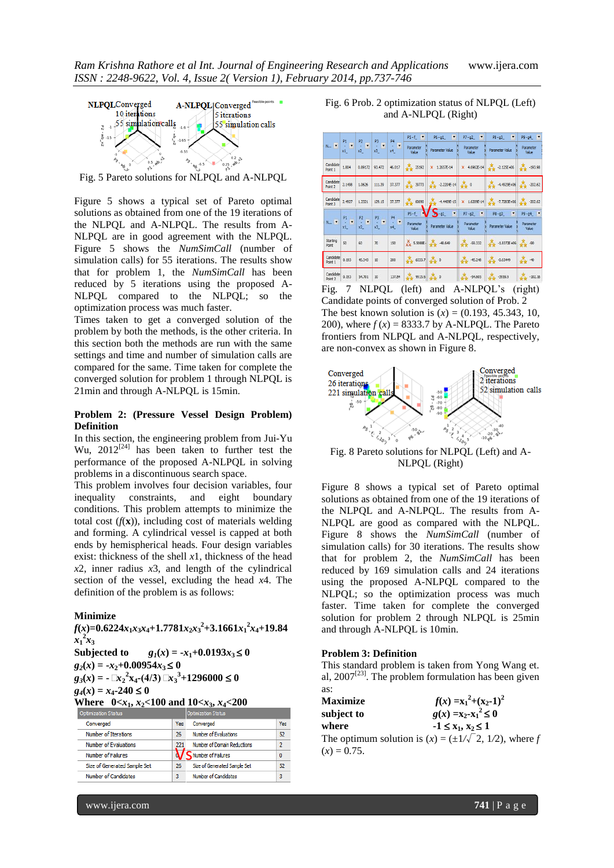

Fig. 5 Pareto solutions for NLPQL and A-NLPQL

Figure 5 shows a typical set of Pareto optimal solutions as obtained from one of the 19 iterations of the NLPQL and A-NLPQL. The results from A-NLPQL are in good agreement with the NLPQL. Figure 5 shows the *NumSimCall* (number of simulation calls) for 55 iterations. The results show that for problem 1, the *NumSimCall* has been reduced by 5 iterations using the proposed A-NLPQL compared to the NLPQL; so the optimization process was much faster.

Times taken to get a converged solution of the problem by both the methods, is the other criteria. In this section both the methods are run with the same settings and time and number of simulation calls are compared for the same. Time taken for complete the converged solution for problem 1 through NLPQL is 21min and through A-NLPQL is 15min.

### **Problem 2: (Pressure Vessel Design Problem) Definition**

In this section, the engineering problem from Jui-Yu Wu,  $2012^{[24]}$  has been taken to further test the performance of the proposed A-NLPQL in solving problems in a discontinuous search space.

This problem involves four decision variables, four inequality constraints, and eight boundary conditions. This problem attempts to minimize the total cost  $(f(\mathbf{x}))$ , including cost of materials welding and forming. A cylindrical vessel is capped at both ends by hemispherical heads. Four design variables exist: thickness of the shell *x*1, thickness of the head *x*2, inner radius *x*3, and length of the cylindrical section of the vessel, excluding the head *x*4. The definition of the problem is as follows:

### **Minimize**

 $f(x)=0.6224x_1x_3x_4+1.7781x_2x_3{}^2+3.1661x_1{}^2x_4+19.84$  $x_1^2 x_3$ 

Subjected to 
$$
g_1(x) = -x_1+0.0193x_3 \le 0
$$
  
\n $g_2(x) = -x_2+0.00954x_3 \le 0$ 

$$
g_3(x) = -\mathbb{L}x_2^2x_4-(4/3)\mathbb{L}x_3^3+1296000 \leq 0
$$

 $g_4(x) = x_4 - 240 \le 0$ 

**Where**  $0 < x_1, x_2 < 100$  and  $10 < x_3, x_4 < 200$ 

| Optimization Status          |     | Optimization Status          |     | subject to     |
|------------------------------|-----|------------------------------|-----|----------------|
| Converged                    | Yes | Converged                    | Yes | where          |
| Number of Iterations         | 26  | Number of Evaluations        | 52  |                |
| Number of Evaluations        | 221 | Number of Domain Reductions  |     | The optim      |
| Number of Failures           |     | Number of Failures           |     | $(x) = 0.75$ . |
| Size of Generated Sample Set | 26  | Size of Generated Sample Set | 52  |                |
| <b>Number of Candidates</b>  | 3   | Number of Candidates         | 3   |                |
|                              |     |                              |     |                |

Fig. 6 Prob. 2 optimization status of NLPQL (Left) and A-NLPQL (Right)

|                                                                                                                                                                                                                                              |                                |                |                 | P <sub>4</sub> | $PS - f$<br>$\blacktriangledown$ | $P6 - g1$<br>۰                            | $P7 - g2$<br>$\overline{\phantom{a}}$ | ۰<br>$P8 - g3$                                               | $P9 - g4$           |
|----------------------------------------------------------------------------------------------------------------------------------------------------------------------------------------------------------------------------------------------|--------------------------------|----------------|-----------------|----------------|----------------------------------|-------------------------------------------|---------------------------------------|--------------------------------------------------------------|---------------------|
| N $\mathbf{v} = \begin{bmatrix} 1 & 1 \\ 1 & -1 \\ 1 & 1 \end{bmatrix} \begin{bmatrix} 1 & 1 \\ 1 & -1 \\ 1 & 1 \end{bmatrix} \begin{bmatrix} 1 & 1 \\ 1 & -1 \\ 1 & 1 \end{bmatrix} \begin{bmatrix} 1 & 1 \\ 1 & -1 \\ 1 & 1 \end{bmatrix}$ |                                |                |                 | ×<br>x4        | Parameter<br>Value               | <b>Parameter Value</b>                    | Parameter<br>Value                    | Parameter Value                                              | Parameter<br>Value  |
| Candidate<br>Point 1                                                                                                                                                                                                                         | 1.804                          | 0.89172        | 93.472          | 46.017         | 25192                            | X 1.2657E-14                              |                                       | X 4.6962E-14 2.125E+06 $\frac{1}{2}$ -193.98                 |                     |
| Candidate<br>Point 2                                                                                                                                                                                                                         | 2.1498                         | 1.0626         | 111.39          | 37.377         | $\frac{1}{2}$ 39773              | $\frac{1}{2}$ -2.2204E-14 $\frac{1}{2}$ 0 |                                       | $\frac{1}{2}$ 4.4929E+06 $\frac{1}{2}$ -202.62               |                     |
| Candidate<br>Point 3                                                                                                                                                                                                                         | 2.4927                         | 1.2321         | 129.15          | 37.377         | $*$ 60690                        | $4.4409E-15$                              |                                       | X 1.6209E-14 $\frac{1}{2}$ -7.7283E+06 $\frac{1}{2}$ -202.62 |                     |
|                                                                                                                                                                                                                                              |                                |                |                 | <b>P4</b>      | $PS - f$                         | $\overline{\phantom{a}}$<br>$P = 91$      | $P7 - g2$<br>$\overline{\phantom{a}}$ | $P8 - g3$<br>٠                                               | $P9 - 94$           |
| $\mathsf{N}_{\mathrm{rec}}$ .                                                                                                                                                                                                                | $\overline{\phantom{a}}$<br>x1 | $\frac{P2}{P}$ | $\frac{P3}{x3}$ | V.<br>x4       | Parameter<br>Value               | <b>Parameter Value</b>                    | Parameter<br>Value                    | Parameter Value                                              | Parameter<br>Value  |
| Starting<br>Point                                                                                                                                                                                                                            | 50                             | 60             | 70              | 150            |                                  | XX 5.5088E 34 48.649                      | $-59.332$                             | $-1.8372E + 06$                                              | $+4$ 90             |
| Candidate<br>Point 1                                                                                                                                                                                                                         | 0.193                          | 45.343         | 10              | 200            | $6033.7$ $\frac{\pi}{200}$ 0     |                                           | $-45.248$                             | $-0.63449$                                                   | $\frac{1}{1+2}$ -10 |
| Candidate<br>Point 2                                                                                                                                                                                                                         | 0.193                          | 54.701         | 10              | 137.84         | $+ 9915.6$ $+ 0$                 |                                           | $-54.605$                             | $-3959.9$                                                    | $+102.16$           |

Fig. 7 NLPQL (left) and A-NLPQL's (right) Candidate points of converged solution of Prob. 2 The best known solution is  $(x) = (0.193, 45.343, 10,$ 200), where  $f(x) = 8333.7$  by A-NLPQL. The Pareto frontiers from NLPQL and A-NLPQL, respectively, are non-convex as shown in Figure 8.



Fig. 8 Pareto solutions for NLPQL (Left) and A-NLPQL (Right)

Figure 8 shows a typical set of Pareto optimal solutions as obtained from one of the 19 iterations of the NLPQL and A-NLPQL. The results from A-NLPQL are good as compared with the NLPQL. Figure 8 shows the *NumSimCall* (number of simulation calls) for 30 iterations. The results show that for problem 2, the *NumSimCall* has been reduced by 169 simulation calls and 24 iterations using the proposed A-NLPQL compared to the NLPQL; so the optimization process was much faster. Time taken for complete the converged solution for problem 2 through NLPQL is 25min and through A-NLPQL is 10min.

#### **Problem 3: Definition**

This standard problem is taken from Yong Wang et. al,  $2007^{[23]}$ . The problem formulation has been given as:

| <b>Maximize</b> | $f(x) = x_1^2 + (x_2 - 1)^2$                                    |
|-----------------|-----------------------------------------------------------------|
| subject to      | $g(x) = x_2 - x_1^2 \leq 0$                                     |
| where           | $-1 \le x_1, x_2 \le 1$                                         |
|                 | The optimum solution is $(x) = (\pm 1/\sqrt{2}, 1/2)$ , where f |
| $(1)$ $0.75$    |                                                                 |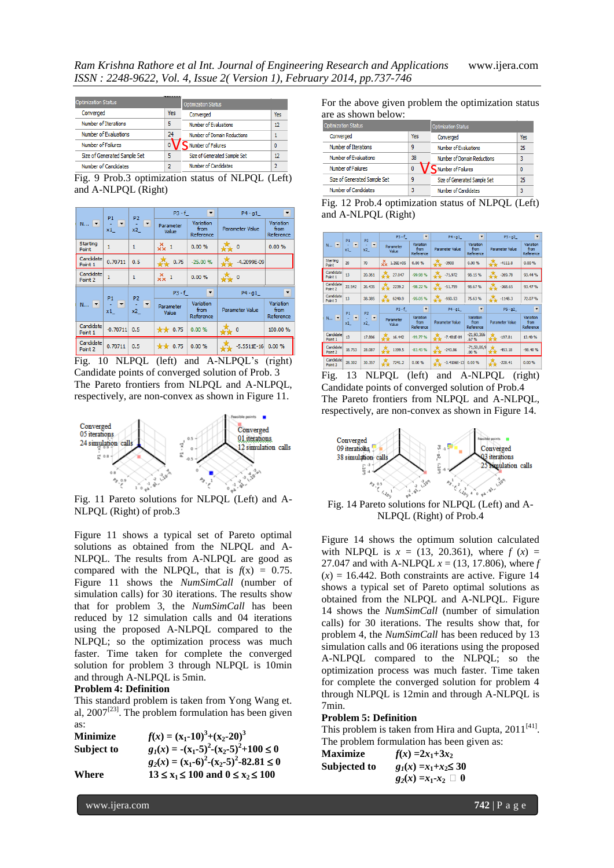| <b>Optimization Status</b>   |     | <b>Optimization Status</b>   |              |  |  |
|------------------------------|-----|------------------------------|--------------|--|--|
| Converged                    | Yes | Converged                    | Yes          |  |  |
| Number of Iterations         | 5   | Number of Evaluations        | 12           |  |  |
| Number of Evaluations        | 24  | Number of Domain Reductions  |              |  |  |
| <b>Number of Failures</b>    |     | Number of Failures           | $\mathbf{0}$ |  |  |
| Size of Generated Sample Set | 5   | Size of Generated Sample Set | 12           |  |  |
| Number of Candidates         |     | Number of Candidates         | 7            |  |  |

Fig. 9 Prob.3 optimization status of NLPQL (Left) and A-NLPQL (Right)

|                          | P <sub>2</sub><br>P <sub>1</sub> |                           | $P3 - f$           | $\overline{\phantom{a}}$       | $P4 - q1$<br>▼         |                                |  |
|--------------------------|----------------------------------|---------------------------|--------------------|--------------------------------|------------------------|--------------------------------|--|
| $N$ $\blacktriangledown$ | $\overline{\phantom{a}}$<br>x1   | О<br>x2                   | Parameter<br>Value | Variation<br>from<br>Reference | <b>Parameter Value</b> | Variation<br>from<br>Reference |  |
| Starting<br>Point        | $\mathbf{1}$                     | $\mathbf{1}$              | $\frac{X}{XX}$ 1   | 0.00%                          | 森。                     | 0.00%                          |  |
| Candidate<br>Point 1     | 0.70711                          | 0.5                       | 0.75               | $-25.00%$                      | -4.2099E-09            |                                |  |
| Candidate<br>Point 2     | $\mathbf{1}$                     | $\mathbf{1}$              | $\frac{X}{X}$ 1    | 0.00%                          | $\mathcal{X}$ o        |                                |  |
|                          | P <sub>1</sub>                   | P <sub>2</sub>            | $P3 - f$           | $\blacktriangledown$           | $P4 - g1$              | ▼                              |  |
| $N$ $\top$               | x1                               | $\vert \cdot \vert$<br>x2 | Parameter<br>Value | Variation<br>from<br>Reference | Parameter Value        | Variation<br>from<br>Reference |  |
| Candidate<br>Point 1     | $-0.70711$                       | 0.5                       | $*$ 0.75           | 0.00%                          | 0                      | 100.00 %                       |  |
| Candidate<br>Point 2     | 0.70711                          | 0.5                       | $*$ 0.75           | 0.00%                          | $-5.5511E-16$          | 0.00%                          |  |

Fig. 10 NLPQL (left) and A-NLPQL's (right) Candidate points of converged solution of Prob. 3 The Pareto frontiers from NLPQL and A-NLPQL, respectively, are non-convex as shown in Figure 11.



Fig. 11 Pareto solutions for NLPQL (Left) and A-NLPQL (Right) of prob.3

Figure 11 shows a typical set of Pareto optimal solutions as obtained from the NLPQL and A-NLPQL. The results from A-NLPQL are good as compared with the NLPQL, that is  $f(x) = 0.75$ . Figure 11 shows the *NumSimCall* (number of simulation calls) for 30 iterations. The results show that for problem 3, the *NumSimCall* has been reduced by 12 simulation calls and 04 iterations using the proposed A-NLPQL compared to the NLPQL; so the optimization process was much faster. Time taken for complete the converged solution for problem 3 through NLPQL is 10min and through A-NLPQL is 5min.

# **Problem 4: Definition**

This standard problem is taken from Yong Wang et. al,  $2007^{[23]}$ . The problem formulation has been given as:

| <b>Minimize</b> | $f(x) = (x_1 - 10)^3 + (x_2 - 20)^3$               |
|-----------------|----------------------------------------------------|
| Subject to      | $g_1(x) = -(x_1-5)^2-(x_2-5)^2+100 \le 0$          |
|                 | $g_2(x) = (x_1 - 6)^2 - (x_2 - 5)^2 - 82.81 \le 0$ |
| Where           | $13 \le x_1 \le 100$ and $0 \le x_2 \le 100$       |

For the above given problem the optimization status are as shown below:

| <b>Optimization Status</b>   |     | <b>Optimization Status</b>   |     |  |
|------------------------------|-----|------------------------------|-----|--|
| Converged                    | Yes | Converged                    | Yes |  |
| Number of Iterations         | ٩   | Number of Evaluations        | 25  |  |
| Number of Evaluations        | 38  | Number of Domain Reductions  | 3   |  |
| Number of Failures           | 0   | Number of Failures           | 0   |  |
| Size of Generated Sample Set | ٩   | Size of Generated Sample Set | 25  |  |
| Number of Candidates         | 3   | Number of Candidates         | 3   |  |

Fig. 12 Prob.4 optimization status of NLPQL (Left) and A-NLPQL (Right)

|                                         |                                                                                                 | P <sub>2</sub>  | $P3 - f$                | $\cdot$                        | $P4 - g1$                | $\blacktriangledown$           | $P5 - q2$             | $\blacktriangledown$           |
|-----------------------------------------|-------------------------------------------------------------------------------------------------|-----------------|-------------------------|--------------------------------|--------------------------|--------------------------------|-----------------------|--------------------------------|
| $N_{\text{max}}$ $\boxed{\blacksquare}$ | x1                                                                                              | $\sim$ 18<br>x2 | Parameter<br>Value      | Variation<br>from<br>Reference | Parameter Value          | Variation<br>from<br>Reference | Parameter Value       | Variation<br>from<br>Reference |
| <b>Starting</b><br>Point                | 20                                                                                              | 70              | $\frac{X}{2}$ 1.26E +05 | 0.00%                          | $\sqrt{2}$ -3900         | 0.00%                          | 4111.8                | 0.00%                          |
| Candidate<br>Point 1                    | 13                                                                                              | 20.361          | 27.047                  | -99.98%                        | $-71.972$                | 98.15%                         | $-269.78$             | 93.44%                         |
| Candidate<br>Point 2                    | 22.542                                                                                          | 26.435          | 2239.2                  | $-98.22%$                      | $-51.759$                | 98.67%                         | $-268.65$             | 93.47%                         |
| Candidate<br>Point 3                    | 13                                                                                              | 38.385          | 6240.9                  | -95.05%                        | $-950.53$                | 75.63%                         | 式<br>$-1148.3$        | 72.07%                         |
|                                         |                                                                                                 | P <sub>2</sub>  | $P3 - f$                | $\mathbf{r}$                   | $P4 - q1$                | $\blacktriangledown$           | $P5 - g2$             | $\overline{\phantom{a}}$       |
|                                         | $N_{\rm tot}$ , $\begin{bmatrix} 1 \\ 1 \end{bmatrix}$ , $\begin{bmatrix} 1 \\ 1 \end{bmatrix}$ | $\sim$ $\sim$   | Parameter<br>Value      | Variation<br>from<br>Reference | <b>Parameter Value</b>   | Variation<br>from<br>Reference | Parameter Value       | Variation<br>from<br>Reference |
| Candidate<br>Point 1                    | 13                                                                                              | 17,806          | 16.442                  | $-99.77%$                      | $\frac{1}{2}$ -7.481E-09 | $-21,93,366$<br>.67%           | $\frac{1}{2}$ -197.81 | 13.40%                         |
| Candidate<br>Point 2                    | 18.753                                                                                          | 28.087          | $\frac{1}{2}$ 1199.5    | $-83.43%$                      | $+243.86$                | $-71,50,06,9$<br>.00%          | $-453.18$             | $-98.40%$                      |
| Candidate<br>Point 3                    | 28.302                                                                                          | 30.357          | 7241.2                  | 0.00%                          | $-3.4106E-13$ 0.00 %     |                                | $-228.41$             | 0.00%                          |

Fig. 13 NLPQL (left) and A-NLPQL (right) Candidate points of converged solution of Prob.4 The Pareto frontiers from NLPQL and A-NLPQL, respectively, are non-convex as shown in Figure 14.



Fig. 14 Pareto solutions for NLPQL (Left) and A-NLPQL (Right) of Prob.4

Figure 14 shows the optimum solution calculated with NLPQL is  $x = (13, 20.361)$ , where  $f(x) =$ 27.047 and with A-NLPQL *x* = (13*,* 17.806), where *f*   $(x) = 16.442$ . Both constraints are active. Figure 14 shows a typical set of Pareto optimal solutions as obtained from the NLPQL and A-NLPQL. Figure 14 shows the *NumSimCall* (number of simulation calls) for 30 iterations. The results show that, for problem 4, the *NumSimCall* has been reduced by 13 simulation calls and 06 iterations using the proposed A-NLPQL compared to the NLPQL; so the optimization process was much faster. Time taken for complete the converged solution for problem 4 through NLPQL is 12min and through A-NLPQL is 7min.

#### **Problem 5: Definition**

This problem is taken from Hira and Gupta,  $2011^{[41]}$ . The problem formulation has been given as:

| <b>Maximize</b> | $f(x) = 2x_1 + 3x_2$           |
|-----------------|--------------------------------|
| Subjected to    | $g_1(x) = x_1 + x_2 \le 30$    |
|                 | $g_2(x) = x_1 - x_2 \square 0$ |

www.ijera.com **742** | P a g e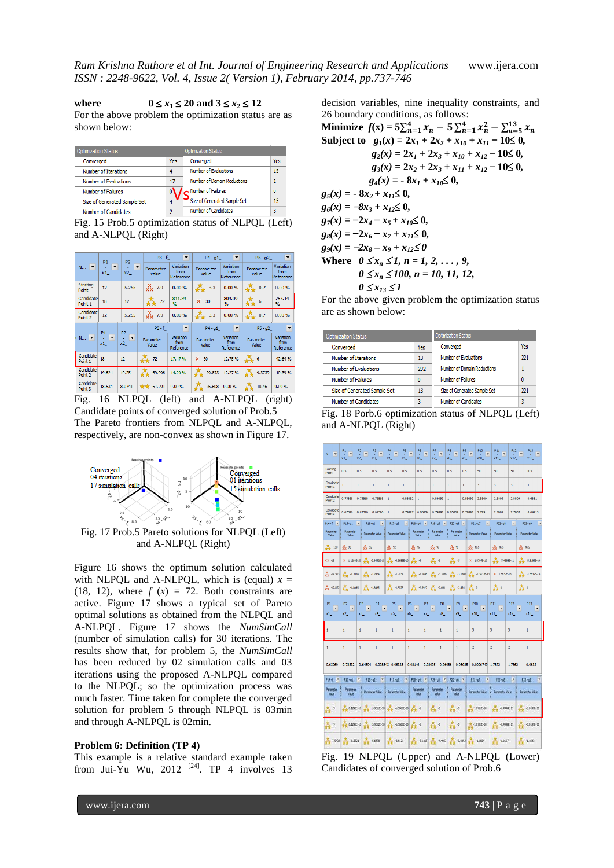**where**  $0 \le x_1 \le 20$  and  $3 \le x_2 \le 12$ 

For the above problem the optimization status are as shown below:

| <b>Optimization Status</b>   |     | <b>Optimization Status</b>   |     |
|------------------------------|-----|------------------------------|-----|
| Converged                    | Yes | Converged                    | Yes |
| Number of Iterations         | 4   | Number of Evaluations        | 15  |
| Number of Evaluations        | 17  | Number of Domain Reductions  |     |
| Number of Failures           |     | Number of Failures           | 0   |
| Size of Generated Sample Set |     | Size of Generated Sample Set | 15  |
| Number of Candidates         | 2   | Number of Candidates         | 3   |

Fig. 15 Prob.5 optimization status of NLPQL (Left) and A-NLPQL (Right)

|                       |                                     |           | $\overline{\phantom{a}}$<br>$P3 - f$ |                                | $P4 - q1$          | $\overline{\phantom{a}}$       | $P5 - q2$<br>▼            |                                |
|-----------------------|-------------------------------------|-----------|--------------------------------------|--------------------------------|--------------------|--------------------------------|---------------------------|--------------------------------|
| $N$ $\boxed{\bullet}$ | $\mathbf{E} \cdot \mathbf{E}$<br>x1 | ا ا<br>x2 | Parameter<br>Value                   | Variation<br>from<br>Reference | Parameter<br>Value | Variation<br>from<br>Reference | Parameter<br>Value        | Variation<br>from<br>Reference |
| Starting<br>Point     | 12                                  | 5.255     | $\frac{X}{X}$ 7.9                    | 0.00%                          | 森 3.3              | 0.00%                          | $\frac{1}{2}$ 0.7         | 0.00%                          |
| Candidate<br>Point 1  | 18                                  | 12        | $\frac{1}{2}$ 72                     | 811.39<br>$\mathbf{Q}_{n}$     | $\times$ 30        | 809.09<br>$\frac{1}{2}$        | $\mathcal{X}_{\bullet}$ 6 | 757.14<br>$\%$                 |
| Candidate<br>Point 2  | 12                                  | 5.255     | $\times$ 7.9                         | 0.00%                          | $\frac{1}{2}$ 3.3  | 0.00%                          | $\sqrt{2}$ 0.7            | 0.00%                          |
|                       |                                     |           |                                      |                                |                    |                                |                           |                                |
|                       |                                     |           | $P3 - f$                             | $\blacktriangledown$           | $P4 - g1$          | $\overline{\phantom{a}}$       | $P5 - g2$                 | $\overline{\phantom{a}}$       |
| N., P 1               |                                     | - 7       | Parameter<br>Value                   | Variation<br>from<br>Reference | Parameter<br>Value | Variation<br>from<br>Reference | Parameter<br>Value        | Variation<br>from<br>Reference |
| Candidate<br>Point 1  | 18                                  | 12        | $\frac{1}{2}$ 72                     | 17.47%                         | $\times$ 30        | 12.75%                         | 森。                        | $-42.64%$                      |
| Candidate<br>Point 2  | 19.624                              | 10.25     | $\frac{1}{2}$ 69.996                 | 14.20%                         | 29.873             | 12.27%                         | $\frac{1}{24}$ 9.3739     | $-10.39%$                      |
| Candidate<br>Point 3  | 18.534                              | 8.0741    | $*$ 61.291                           | 0.00%                          | 26.608             | 0.00%                          | 10.46                     | 0.00%                          |

Fig. 16 NLPQL (left) and A-NLPQL (right) Candidate points of converged solution of Prob.5 The Pareto frontiers from NLPQL and A-NLPQL, respectively, are non-convex as shown in Figure 17.



and A-NLPQL (Right)

Figure 16 shows the optimum solution calculated with NLPQL and A-NLPQL, which is (equal)  $x =$ (18, 12), where  $f(x) = 72$ . Both constraints are active. Figure 17 shows a typical set of Pareto optimal solutions as obtained from the NLPQL and A-NLPQL. Figure 17 shows the *NumSimCall*  (number of simulation calls) for 30 iterations. The results show that, for problem 5, the *NumSimCall*  has been reduced by 02 simulation calls and 03 iterations using the proposed A-NLPQL compared to the NLPQL; so the optimization process was much faster. Time taken for complete the converged solution for problem 5 through NLPQL is 03min and through A-NLPQL is 02min.

#### **Problem 6: Definition (TP 4)**

This example is a relative standard example taken from Jui-Yu Wu, 2012<sup>[24]</sup>. TP 4 involves 13 decision variables, nine inequality constraints, and 26 boundary conditions, as follows:

**Minimize**  $f(\mathbf{x}) = 5\sum_{n=1}^{4} x_n - 5\sum_{n=1}^{4} x_n^2 - \sum_{n=5}^{13} x_n$ Subject to  $g_1(x) = 2x_1 + 2x_2 + x_{10} + x_{11} - 10 \le 0$ ,  $g_2(x) = 2x_1 + 2x_3 + x_{10} + x_{12} - 10 \leq 0$  $g_3(x) = 2x_2 + 2x_3 + x_{11} + x_{12} - 10 \leq 0$  $g_4(x) = -8x_1 + x_{10} \leq 0$ ,  $g_5(x) = -8x_2 + x_{11} \leq 0$ ,  $g_6(x) = -8x_3 + x_{12} \leq 0$ ,  $g_7(x) = -2x_4 - x_5 + x_{10} \leq 0$ ,  $g_8(x) = -2x_6 - x_7 + x_{11} \leq 0$ ,  $g_9(x) = -2x_8 - x_9 + x_{12} \le 0$ **Where**  $0 \le x_n \le 1, n = 1, 2, ..., 9$ , *0* <sup>≤</sup> *x<sup>n</sup>* <sup>≤</sup> *100, n = 10, 11, 12, 0* ≤  $x_{13}$  ≤ 1

For the above given problem the optimization status are as shown below:

| <b>Optimization Status</b>   |     | <b>Optimization Status</b>         |     |
|------------------------------|-----|------------------------------------|-----|
| Converged                    | Yes | Converged                          | Yes |
| Number of Iterations         | 13  | Number of Evaluations              | 221 |
| Number of Evaluations        | 292 | <b>Number of Domain Reductions</b> |     |
| <b>Number of Failures</b>    | 0   | <b>Number of Failures</b>          | 0   |
| Size of Generated Sample Set | 13  | Size of Generated Sample Set       | 221 |
| Number of Candidates         | 3   | Number of Candidates               | 3   |

|                     | Fig. 18 Porb.6 optimization status of NLPQL (Left) |  |  |
|---------------------|----------------------------------------------------|--|--|
| and A-NLPQL (Right) |                                                    |  |  |

| N<br>$\overline{\phantom{a}}$ | P <sub>1</sub><br>$\overline{\phantom{a}}$<br>x1 | P <sub>2</sub><br>$\overline{\phantom{a}}$<br>x2 | P <sub>3</sub><br>÷<br>x3                             | <b>P4</b><br>٠<br>x4   | P <sub>5</sub><br>٠<br>x5 | P6<br>$\overline{\phantom{a}}$<br>x6 | P7<br>$\blacktriangledown$<br>x7                  | P <sub>8</sub><br>$\overline{\phantom{a}}$<br>÷<br>x8  | P <sub>9</sub><br>$\cdot$<br>÷<br>x9 | P <sub>10</sub><br>٠<br>x10                    | P11<br>$\overline{\phantom{a}}$<br>x11 | P <sub>12</sub><br>$\overline{\phantom{a}}$<br>x12 | P <sub>13</sub><br>x13                             |
|-------------------------------|--------------------------------------------------|--------------------------------------------------|-------------------------------------------------------|------------------------|---------------------------|--------------------------------------|---------------------------------------------------|--------------------------------------------------------|--------------------------------------|------------------------------------------------|----------------------------------------|----------------------------------------------------|----------------------------------------------------|
| <b>Starting</b><br>Point      | 0.5                                              | 0.5                                              | 0.5                                                   | 0.5                    | 0.5                       | 0.5                                  | 0.5                                               | 0.5                                                    | 0.5                                  | 50                                             | 50                                     | 50                                                 | 0.5                                                |
| Candidate<br>Point 1          | Ŧ.                                               | $\mathbf{1}$                                     | $\mathbf{1}$                                          | $\mathbf{I}$           | $\mathbf{I}$              | $\mathbf{1}$                         | $\mathbf{1}$                                      | $\mathbf{1}$                                           | $\mathbf{1}$                         | 3                                              | 3                                      | 3                                                  | $\mathbf{I}$                                       |
| Candidate<br>Point 2          | 0.75868                                          | 0.75868                                          | 0.75868                                               | $\mathbf{1}$           | 0.88092                   | $\mathbf{1}$                         | 0.88092                                           | $\mathbf{1}$                                           | 0.88092                              | 2,8809                                         | 2.8809                                 | 2.8809                                             | 0.6881                                             |
| Candidate<br>Point 3          | 0.67396                                          | 0.67396                                          | 0.67396                                               | $\mathbf{1}$           | 0.79897                   | 0.95084                              | 0.79898                                           | 0.95084                                                | 0.79898                              | 2.799                                          | 2.7007                                 | 2.7007                                             | 0.64713                                            |
| P14-f -                       | $P15 - q1$                                       | $\overline{\phantom{a}}$                         | $P16 - Q2$<br>$\cdot$                                 | $P17 - q3$             | ٠                         | $P18 - q4$ $\bullet$                 | $P19 - 05$                                        | $P20 - 06$                                             | $\overline{\phantom{a}}$             | $\overline{\phantom{0}}$<br>$P21 - q7$         | $P22 - 08$                             | $\overline{\phantom{a}}$                           | $P23 - q9$                                         |
| Parameter<br>Value            | Parameter<br>Value                               |                                                  | <b>Parameter Value</b>                                | Parameter Value        |                           | Parameter<br>Value                   | Parameter<br>Value                                | Parameter<br>Value                                     |                                      | <b>Parameter Value</b>                         | Parameter Value                        |                                                    | <b>Parameter Value</b>                             |
| $\frac{1}{2}$ -150            | $\times 92$                                      | $\times 92$                                      |                                                       | $x^2$ 92               | $\frac{X}{XX}$ %          |                                      | $\frac{X}{XX}$ $\approx$                          | $\frac{X}{XX}$ %                                       | $\frac{X}{XX}$ 48.5                  |                                                | $X \times 48.5$                        |                                                    | $\frac{X}{XX}$ 48.5                                |
| $XX - 19$                     | X 1.1298E-10                                     |                                                  | $\frac{1}{2}$ -3.9392E-10                             | $+5.5688E-10$          |                           | 森。                                   | 森。                                                | 森。                                                     |                                      | X 1.8797E-10                                   | $\frac{1}{2}$ -7.4988E-11              |                                                    | $\frac{1}{2}$ -5.8189E-10                          |
| $\times$ +14.503              | 춌<br>$-1.2034$                                   | 쵸                                                | $-1.2034$                                             | 춌<br>$-1.2034$         |                           | $\frac{1}{2}$ -3.1886                | 森<br>$-3.1886$                                    | 춌                                                      | 춌<br>$-3.1886$                       | $-1.5632E - 13$                                | X 1.5632E-13                           |                                                    | $-1.5632E - 13$                                    |
| $X \times 12.872$             | 춇<br>$-1.80 + 5$                                 | 춇                                                | $-1.80 - 5$                                           | 춌<br>$-1.9028$         | 춌                         | $-2.5927$                            | $-2.691$                                          | 춇                                                      | 姦。<br>$-2.691$                       |                                                | 森。                                     | 森。                                                 |                                                    |
| P <sub>1</sub><br>×<br>x1     | P <sub>2</sub><br>×<br>x2                        | P <sub>3</sub><br>$\overline{\phantom{a}}$<br>x3 | P <sub>4</sub><br>$\overline{\phantom{a}}$<br>÷<br>x4 | P5<br>ä,<br>x5         | P6<br>×<br>x6             | P7<br>×<br>÷<br>x7                   | P <sub>8</sub><br>$\blacktriangledown$<br>÷<br>x3 | P <sub>9</sub><br>$\overline{\phantom{a}}$<br>×,<br>х9 | $\overline{\phantom{a}}$             | P <sub>10</sub><br>$\blacktriangledown$<br>x10 | P <sub>11</sub><br>×<br>x11            | P <sub>12</sub><br>$\overline{\phantom{a}}$<br>x12 | P <sub>13</sub><br>$\overline{\phantom{a}}$<br>x13 |
| $\mathbf{1}$                  | $\mathbf{1}$                                     | $\mathbf{1}$                                     | $\mathbf{1}$                                          | $\mathbf{1}$           | $\mathbf{1}$              | $\mathbf{1}$                         | $\mathbf{1}$                                      | $\mathbf{1}$                                           | 3                                    |                                                | 3                                      | 3                                                  | $\mathbf{1}$                                       |
| $\mathbf{1}$                  | $\mathbf 1$                                      | $\mathbf{1}$                                     | $\mathbf{1}$                                          | $\mathbf{1}$           | $\mathbf{1}$              | $\mathbf{1}$                         | $\mathbf{1}$                                      | $\mathbf{1}$                                           | 3                                    |                                                | 3                                      | 3                                                  | $\mathbf{1}$                                       |
| 0.63969                       | 0.78532                                          | 0.64694                                          |                                                       | 0.098843 0.96338       | 0.98146                   |                                      | 0.98995                                           | 0.96986                                                | 0.96085                              | 0.0006749                                      | 1,7872                                 | 1.7362                                             | 0.9633                                             |
| P14-F                         | P15.91                                           | $\mathbf{r}$                                     | $P16 - 02$<br>×                                       | $PI7 - q3$             | ٠                         | P18-g4                               | $P19 - q5$ .                                      | P20 - 06 -                                             |                                      | $P21 - q7$<br>×                                | $P22 - 68$                             | ٠                                                  | ×<br>P23.09                                        |
| Parameter<br>Value            | Parameter<br>Value                               |                                                  | <b>Parameter Value</b>                                | <b>Parameter Value</b> |                           | Parameter<br>Vakin                   | Parameter<br>Value                                | Parameter<br>Value                                     |                                      | <b>Parameter Value</b>                         | <b>Parameter Value</b>                 |                                                    | <b>Parameter Value</b>                             |
| 森田                            | $-4.12986 - 10$                                  |                                                  | $-3.93926 - 10$                                       | $-6.56896 - 10$        |                           | 森                                    | A s                                               | A,                                                     |                                      | 187976-10                                      | $-7.49886 - 11$                        |                                                    | 5.81896-10                                         |
| 森田                            | $+4.12985 - 10$                                  |                                                  | $-3.93926 - 10$                                       | $-6.5688 - 10$         |                           | $\frac{1}{2}$                        | Å<br>$\lambda_2^2$                                | 즗                                                      |                                      | × 1879元-10                                     | $-7.49885 - 11$                        |                                                    | 大大 5.81996-10                                      |
| $-7.9408$                     | $-5.3621$                                        |                                                  | -5,6898                                               | $-3.6121$              | A                         | $-5.1168$                            | Ą<br>$-4.4953$                                    |                                                        | $-3.4392$                            | $-1.1604$                                      | A<br>$-1.1657$                         |                                                    | 440                                                |
|                               |                                                  |                                                  |                                                       |                        |                           |                                      |                                                   |                                                        |                                      |                                                |                                        |                                                    |                                                    |

Fig. 19 NLPQL (Upper) and A-NLPQL (Lower) Candidates of converged solution of Prob.6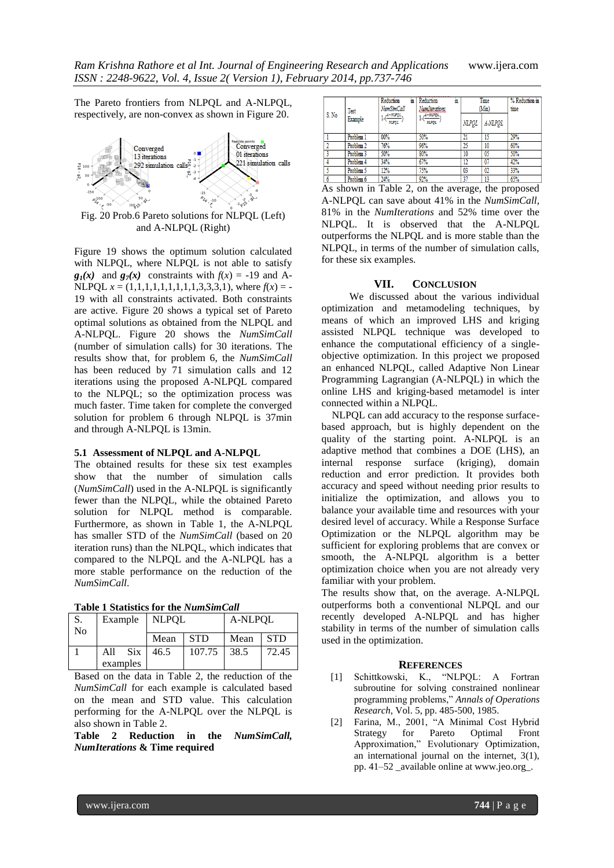The Pareto frontiers from NLPQL and A-NLPQL, respectively, are non-convex as shown in Figure 20.



and A-NLPQL (Right)

Figure 19 shows the optimum solution calculated with NLPQL, where NLPQL is not able to satisfy  $g_1(x)$  and  $g_2(x)$  constraints with  $f(x) = -19$  and A-NLPQL  $x = (1,1,1,1,1,1,1,1,1,3,3,3,1)$ , where  $f(x) = -$ 19 with all constraints activated. Both constraints are active. Figure 20 shows a typical set of Pareto optimal solutions as obtained from the NLPQL and A-NLPQL. Figure 20 shows the *NumSimCall*  (number of simulation calls) for 30 iterations. The results show that, for problem 6, the *NumSimCall*  has been reduced by 71 simulation calls and 12 iterations using the proposed A-NLPQL compared to the NLPQL; so the optimization process was much faster. Time taken for complete the converged solution for problem 6 through NLPQL is 37min and through A-NLPQL is 13min.

### **5.1 Assessment of NLPQL and A-NLPQL**

The obtained results for these six test examples show that the number of simulation calls (*NumSimCall*) used in the A-NLPQL is significantly fewer than the NLPQL, while the obtained Pareto solution for NLPQL method is comparable. Furthermore, as shown in Table 1, the A-NLPQL has smaller STD of the *NumSimCall* (based on 20 iteration runs) than the NLPQL, which indicates that compared to the NLPQL and the A-NLPQL has a more stable performance on the reduction of the *NumSimCall*.

| <b>Table 1 Statistics for the NumSimCall</b> |  |  |
|----------------------------------------------|--|--|
|                                              |  |  |

| S.<br>N <sub>0</sub> | Example           | <b>NLPOL</b> |            | A-NLPOL |            |  |
|----------------------|-------------------|--------------|------------|---------|------------|--|
|                      |                   | Mean         | <b>STD</b> | Mean    | <b>STD</b> |  |
|                      | <b>Six</b><br>All | 46.5         | 107.75     | 38.5    | 72.45      |  |
|                      | examples          |              |            |         |            |  |

Based on the data in Table 2, the reduction of the *NumSimCall* for each example is calculated based on the mean and STD value. This calculation performing for the A-NLPQL over the NLPQL is also shown in Table 2.

**Table 2 Reduction in the** *NumSimCall, NumIterations* **& Time required**

| S. No    | Test<br>Example | Reduction<br>m<br>NumSimCall<br>$\frac{(A-NLPQL)}{NLPQL}$ | Reduction<br>m<br>NumIterations<br>,A-NUPQL<br><b>NUMBER</b> | <b>NLPOL</b>   | Time<br>(Min)<br>A-NLPOL | % Reduction in<br>time |
|----------|-----------------|-----------------------------------------------------------|--------------------------------------------------------------|----------------|--------------------------|------------------------|
|          | Problem 1       | 00%                                                       | 50%                                                          | 21             |                          | 29%                    |
| $\gamma$ | Problem 2       | 76%                                                       | 96%                                                          | 25             | 10                       | 60%                    |
|          | Problem 3       | 50%                                                       | 80%                                                          | 10             | 0 <sub>5</sub>           | 50%                    |
|          | Problem 4       | 34%                                                       | 67%                                                          | 12             | 07                       | 42%                    |
|          | Problem 5       | 12%                                                       | 75%                                                          | 0 <sup>3</sup> | 02                       | 33%                    |
| 6        | Problem 6       | 24%                                                       | 92%                                                          | 37             | 13                       | 65%                    |

As shown in Table 2, on the average, the proposed A-NLPQL can save about 41% in the *NumSimCall,* 81% in the *NumIterations* and 52% time over the NLPQL. It is observed that the A-NLPQL outperforms the NLPQL and is more stable than the NLPQL, in terms of the number of simulation calls, for these six examples.

#### **VII. CONCLUSION**

We discussed about the various individual optimization and metamodeling techniques, by means of which an improved LHS and kriging assisted NLPQL technique was developed to enhance the computational efficiency of a singleobjective optimization. In this project we proposed an enhanced NLPQL, called Adaptive Non Linear Programming Lagrangian (A-NLPQL) in which the online LHS and kriging-based metamodel is inter connected within a NLPQL.

NLPQL can add accuracy to the response surfacebased approach, but is highly dependent on the quality of the starting point. A-NLPQL is an adaptive method that combines a DOE (LHS), an internal response surface (kriging), domain reduction and error prediction. It provides both accuracy and speed without needing prior results to initialize the optimization, and allows you to balance your available time and resources with your desired level of accuracy. While a Response Surface Optimization or the NLPQL algorithm may be sufficient for exploring problems that are convex or smooth, the A-NLPQL algorithm is a better optimization choice when you are not already very familiar with your problem.

The results show that, on the average. A-NLPQL outperforms both a conventional NLPQL and our recently developed A-NLPQL and has higher stability in terms of the number of simulation calls used in the optimization.

#### **REFERENCES**

- [1] Schittkowski, K., "NLPQL: A Fortran subroutine for solving constrained nonlinear programming problems," *Annals of Operations Research*, Vol. 5, pp. 485-500, 1985.
- [2] Farina, M., 2001, "A Minimal Cost Hybrid Strategy for Pareto Optimal Front Approximation," Evolutionary Optimization, an international journal on the internet, 3(1), pp. 41–52 \_available online at www.jeo.org\_.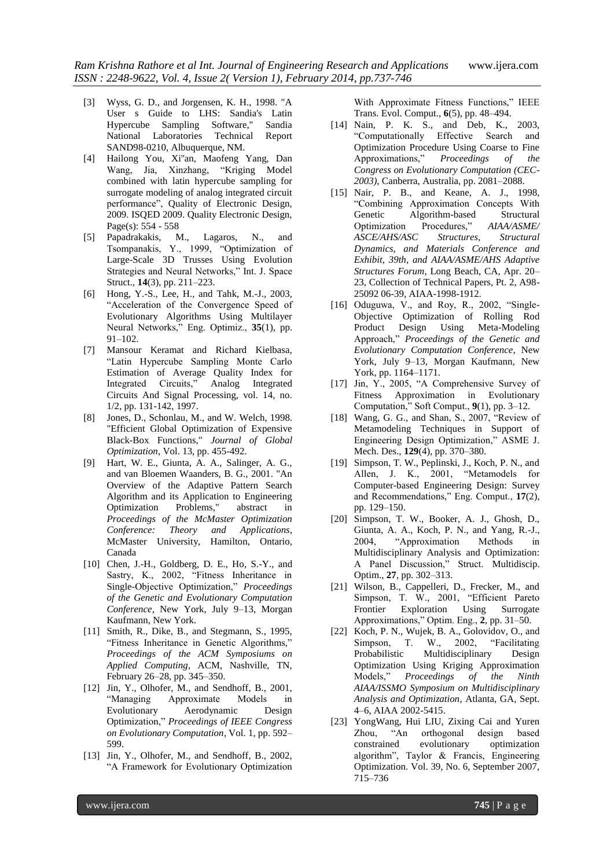- [3] Wyss, G. D., and Jorgensen, K. H., 1998. "A User s Guide to LHS: Sandia's Latin Hypercube Sampling Software," Sandia National Laboratories Technical Report SAND98-0210, Albuquerque, NM.
- [4] Hailong You, Xi''an, Maofeng Yang, Dan Wang, Jia, Xinzhang, "Kriging Model combined with latin hypercube sampling for surrogate modeling of analog integrated circuit performance", Quality of Electronic Design, 2009. ISQED 2009. Quality Electronic Design, Page(s): 554 - 558<br>Papadrakakis, M.,
- [5] Papadrakakis, M., Lagaros, N., and Tsompanakis, Y., 1999, "Optimization of Large-Scale 3D Trusses Using Evolution Strategies and Neural Networks," Int. J. Space Struct., **14**(3), pp. 211–223.
- [6] Hong, Y.-S., Lee, H., and Tahk, M.-J., 2003, "Acceleration of the Convergence Speed of Evolutionary Algorithms Using Multilayer Neural Networks," Eng. Optimiz., **35**(1), pp. 91–102.
- [7] Mansour Keramat and Richard Kielbasa, "Latin Hypercube Sampling Monte Carlo Estimation of Average Quality Index for Integrated Circuits," Analog Integrated Circuits And Signal Processing, vol. 14, no. 1/2, pp. 131-142, 1997.
- [8] Jones, D., Schonlau, M., and W. Welch, 1998. "Efficient Global Optimization of Expensive Black-Box Functions," *Journal of Global Optimization*, Vol. 13, pp. 455-492.
- [9] Hart, W. E., Giunta, A. A., Salinger, A. G., and van Bloemen Waanders, B. G., 2001. "An Overview of the Adaptive Pattern Search Algorithm and its Application to Engineering Optimization Problems," abstract in *Proceedings of the McMaster Optimization Conference: Theory and Applications*, McMaster University, Hamilton, Ontario, Canada
- [10] Chen, J.-H., Goldberg, D. E., Ho, S.-Y., and Sastry, K., 2002, "Fitness Inheritance in Single-Objective Optimization," *Proceedings of the Genetic and Evolutionary Computation Conference*, New York, July 9–13, Morgan Kaufmann, New York.
- [11] Smith, R., Dike, B., and Stegmann, S., 1995, "Fitness Inheritance in Genetic Algorithms," *Proceedings of the ACM Symposiums on Applied Computing*, ACM, Nashville, TN, February 26–28, pp. 345–350.
- [12] Jin, Y., Olhofer, M., and Sendhoff, B., 2001, "Managing Approximate Models in Evolutionary Aerodynamic Design Optimization," *Proceedings of IEEE Congress on Evolutionary Computation*, Vol. 1, pp. 592– 599.
- [13] Jin, Y., Olhofer, M., and Sendhoff, B., 2002, "A Framework for Evolutionary Optimization

With Approximate Fitness Functions," IEEE Trans. Evol. Comput., **6**(5), pp. 48–494.

- [14] Nain, P. K. S., and Deb, K., 2003, "Computationally Effective Search and Optimization Procedure Using Coarse to Fine Approximations," *Proceedings of the Congress on Evolutionary Computation (CEC-2003)*, Canberra, Australia, pp. 2081–2088.
- [15] Nair, P. B., and Keane, A. J., 1998, "Combining Approximation Concepts With Genetic Algorithm-based Structural Optimization Procedures," *AIAA/ASME/ ASCE/AHS/ASC Structures, Structural Dynamics, and Materials Conference and Exhibit, 39th, and AIAA/ASME/AHS Adaptive Structures Forum*, Long Beach, CA, Apr. 20– 23, Collection of Technical Papers, Pt. 2, A98- 25092 06-39, AIAA-1998-1912.
- [16] Oduguwa, V., and Roy, R., 2002, "Single-Objective Optimization of Rolling Rod Product Design Using Meta-Modeling Approach," *Proceedings of the Genetic and Evolutionary Computation Conference*, New York, July 9–13, Morgan Kaufmann, New York, pp. 1164–1171.
- [17] Jin, Y., 2005, "A Comprehensive Survey of Fitness Approximation in Evolutionary Computation," Soft Comput., **9**(1), pp. 3–12.
- [18] Wang, G. G., and Shan, S., 2007, "Review of Metamodeling Techniques in Support of Engineering Design Optimization," ASME J. Mech. Des., **129**(4), pp. 370–380.
- [19] Simpson, T. W., Peplinski, J., Koch, P. N., and Allen, J. K., 2001, "Metamodels for Computer-based Engineering Design: Survey and Recommendations," Eng. Comput., **17**(2), pp. 129–150.
- [20] Simpson, T. W., Booker, A. J., Ghosh, D., Giunta, A. A., Koch, P. N., and Yang, R.-J., 2004, "Approximation Methods in Multidisciplinary Analysis and Optimization: A Panel Discussion," Struct. Multidiscip. Optim., **27**, pp. 302–313.
- [21] Wilson, B., Cappelleri, D., Frecker, M., and Simpson, T. W., 2001, "Efficient Pareto Frontier Exploration Using Surrogate Approximations," Optim. Eng., **2**, pp. 31–50.
- [22] Koch, P. N., Wujek, B. A., Golovidov, O., and Simpson, T. W., 2002, "Facilitating Probabilistic Multidisciplinary Design Optimization Using Kriging Approximation Models," *Proceedings of the Ninth AIAA/ISSMO Symposium on Multidisciplinary Analysis and Optimization*, Atlanta, GA, Sept. 4–6, AIAA 2002-5415.
- [23] YongWang, Hui LIU, Zixing Cai and Yuren Zhou, "An orthogonal design based constrained evolutionary optimization algorithm", Taylor & Francis, Engineering Optimization. Vol. 39, No. 6, September 2007, 715–736